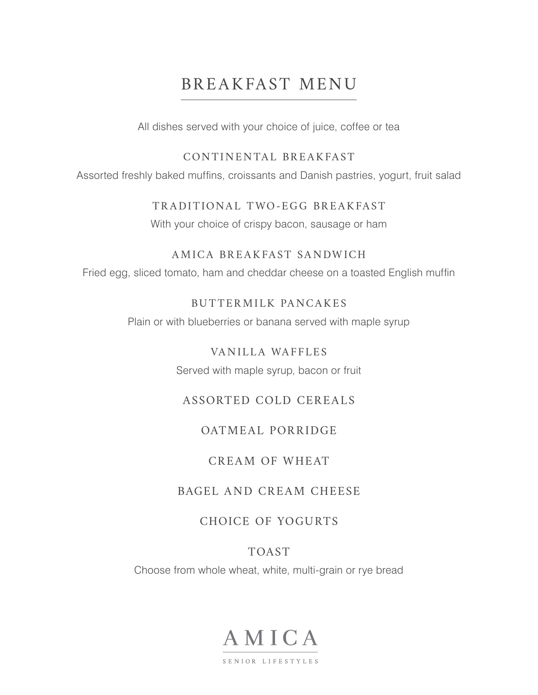# BREAKFAST MENU

All dishes served with your choice of juice, coffee or tea

#### CONTINENTAL BREAKFAST

Assorted freshly baked muffins, croissants and Danish pastries, yogurt, fruit salad

#### TRADITIONAL TWO-EGG BREAKFAST

With your choice of crispy bacon, sausage or ham

#### AMICA BREAKFAST SANDWICH

Fried egg, sliced tomato, ham and cheddar cheese on a toasted English muffin

## BUTTERMILK PANCAKES

Plain or with blueberries or banana served with maple syrup

## VANILLA WAFFLES

Served with maple syrup, bacon or fruit

# ASSORTED COLD CEREALS

# OATMEAL PORRIDGE

## CREAM OF WHEAT

# BAGEL AND CREAM CHEESE

# CHOICE OF YOGURTS

# TOAST

Choose from whole wheat, white, multi-grain or rye bread

# AMICA

SENIOR LIFESTYLES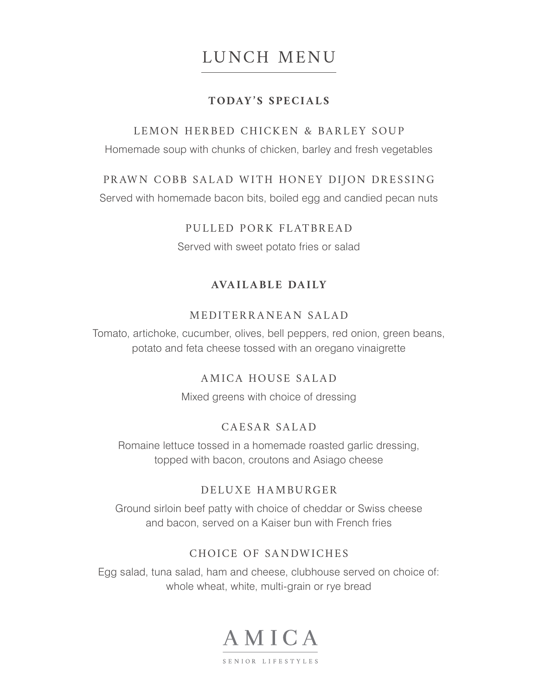# LUNCH MENU

#### **TODAY'S SPECIALS**

#### LEMON HERBED CHICKEN & BARLEY SOUP

Homemade soup with chunks of chicken, barley and fresh vegetables

#### PRAWN COBB SALAD WITH HONEY DIJON DRESSING

Served with homemade bacon bits, boiled egg and candied pecan nuts

#### PULLED PORK FLATBREAD

Served with sweet potato fries or salad

#### **AVAILABLE DAILY**

#### MEDITERRANEAN SALAD

Tomato, artichoke, cucumber, olives, bell peppers, red onion, green beans, potato and feta cheese tossed with an oregano vinaigrette

#### AMICA HOUSE SALAD

Mixed greens with choice of dressing

#### CAESAR SALAD

Romaine lettuce tossed in a homemade roasted garlic dressing, topped with bacon, croutons and Asiago cheese

#### DELUXE HAMBURGER

Ground sirloin beef patty with choice of cheddar or Swiss cheese and bacon, served on a Kaiser bun with French fries

#### CHOICE OF SANDWICHES

Egg salad, tuna salad, ham and cheese, clubhouse served on choice of: whole wheat, white, multi-grain or rye bread

# AMICA

SENIOR LIFESTYLES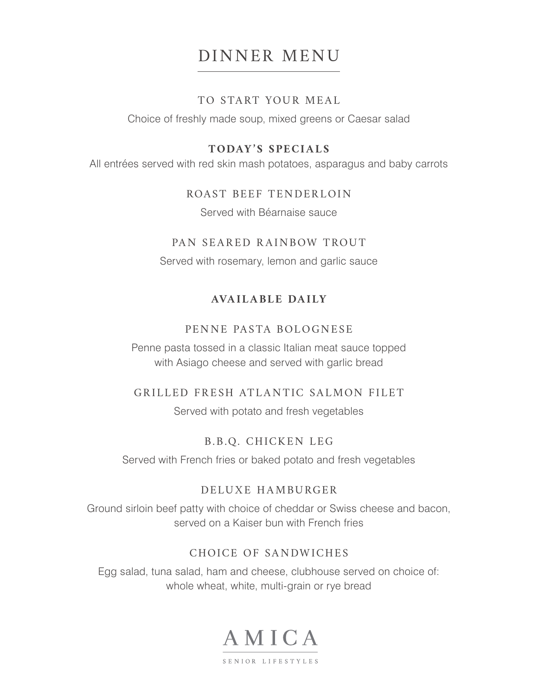# DINNER MENU

#### TO START YOUR MEAL

Choice of freshly made soup, mixed greens or Caesar salad

#### **TODAY'S SPECIALS**

All entrées served with red skin mash potatoes, asparagus and baby carrots

#### ROAST BEEF TENDERLOIN

Served with Béarnaise sauce

#### PAN SEARED RAINBOW TROUT

Served with rosemary, lemon and garlic sauce

### **AVAILABLE DAILY**

#### PENNE PASTA BOLOGNESE

Penne pasta tossed in a classic Italian meat sauce topped with Asiago cheese and served with garlic bread

#### GRILLED FRESH ATLANTIC SALMON FILET

Served with potato and fresh vegetables

## B.B.Q. CHICKEN LEG

Served with French fries or baked potato and fresh vegetables

#### DELUXE HAMBURGER

Ground sirloin beef patty with choice of cheddar or Swiss cheese and bacon, served on a Kaiser bun with French fries

## CHOICE OF SANDWICHES

Egg salad, tuna salad, ham and cheese, clubhouse served on choice of: whole wheat, white, multi-grain or rye bread

# AMICA

SENIOR LIFESTYLES